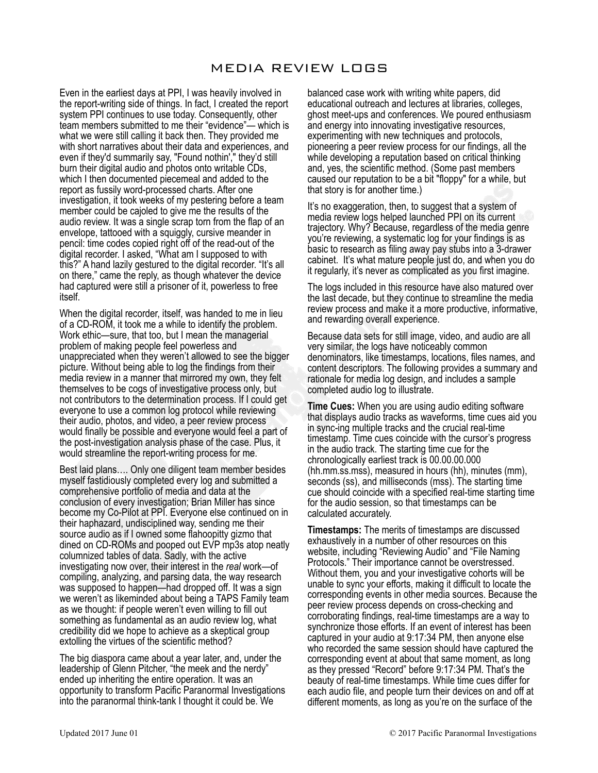# MEDIA REVIEW LOGS

Even in the earliest days at PPI, I was heavily involved in the report-writing side of things. In fact, I created the report system PPI continues to use today. Consequently, other team members submitted to me their "evidence"— which is what we were still calling it back then. They provided me with short narratives about their data and experiences, and even if they'd summarily say, "Found nothin'," they'd still burn their digital audio and photos onto writable CDs, which I then documented piecemeal and added to the report as fussily word-processed charts. After one investigation, it took weeks of my pestering before a team member could be cajoled to give me the results of the audio review. It was a single scrap torn from the flap of an envelope, tattooed with a squiggly, cursive meander in pencil: time codes copied right off of the read-out of the digital recorder. I asked, "What am I supposed to with this?" A hand lazily gestured to the digital recorder. "It's all on there," came the reply, as though whatever the device had captured were still a prisoner of it, powerless to free itself.

When the digital recorder, itself, was handed to me in lieu of a CD-ROM, it took me a while to identify the problem. Work ethic—sure, that too, but I mean the managerial problem of making people feel powerless and unappreciated when they weren't allowed to see the bigger picture. Without being able to log the findings from their media review in a manner that mirrored my own, they felt themselves to be cogs of investigative process only, but not contributors to the determination process. If I could get everyone to use a common log protocol while reviewing their audio, photos, and video, a peer review process would finally be possible and everyone would feel a part of the post-investigation analysis phase of the case. Plus, it would streamline the report-writing process for me.

Best laid plans…. Only one diligent team member besides myself fastidiously completed every log and submitted a comprehensive portfolio of media and data at the conclusion of every investigation; Brian Miller has since become my Co-Pilot at PPI. Everyone else continued on in their haphazard, undisciplined way, sending me their source audio as if I owned some flahoopitty gizmo that dined on CD-ROMs and pooped out EVP mp3s atop neatly columnized tables of data. Sadly, with the active investigating now over, their interest in the *real* work—of compiling, analyzing, and parsing data, the way research was supposed to happen—had dropped off. It was a sign we weren't as likeminded about being a TAPS Family team as we thought: if people weren't even willing to fill out something as fundamental as an audio review log, what credibility did we hope to achieve as a skeptical group extolling the virtues of the scientific method?

The big diaspora came about a year later, and, under the leadership of Glenn Pitcher, "the meek and the nerdy" ended up inheriting the entire operation. It was an opportunity to transform Pacific Paranormal Investigations into the paranormal think-tank I thought it could be. We

balanced case work with writing white papers, did educational outreach and lectures at libraries, colleges, ghost meet-ups and conferences. We poured enthusiasm and energy into innovating investigative resources, experimenting with new techniques and protocols, pioneering a peer review process for our findings, all the while developing a reputation based on critical thinking and, yes, the scientific method. (Some past members caused our reputation to be a bit "floppy" for a while, but that story is for another time.)

It's no exaggeration, then, to suggest that a system of media review logs helped launched PPI on its current trajectory. Why? Because, regardless of the media genre you're reviewing, a systematic log for your findings is as basic to research as filing away pay stubs into a 3-drawer cabinet. It's what mature people just do, and when you do it regularly, it's never as complicated as you first imagine.

The logs included in this resource have also matured over the last decade, but they continue to streamline the media review process and make it a more productive, informative, and rewarding overall experience.

Because data sets for still image, video, and audio are all very similar, the logs have noticeably common denominators, like timestamps, locations, files names, and content descriptors. The following provides a summary and rationale for media log design, and includes a sample completed audio log to illustrate.

**Time Cues:** When you are using audio editing software that displays audio tracks as waveforms, time cues aid you in sync-ing multiple tracks and the crucial real-time timestamp. Time cues coincide with the cursor's progress in the audio track. The starting time cue for the chronologically earliest track is 00.00.00.000 (hh.mm.ss.mss), measured in hours (hh), minutes (mm), seconds (ss), and milliseconds (mss). The starting time cue should coincide with a specified real-time starting time for the audio session, so that timestamps can be calculated accurately.

**Timestamps:** The merits of timestamps are discussed exhaustively in a number of other resources on this website, including "Reviewing Audio" and "File Naming Protocols." Their importance cannot be overstressed. Without them, you and your investigative cohorts will be unable to sync your efforts, making it difficult to locate the corresponding events in other media sources. Because the peer review process depends on cross-checking and corroborating findings, real-time timestamps are a way to synchronize those efforts. If an event of interest has been captured in your audio at 9:17:34 PM, then anyone else who recorded the same session should have captured the corresponding event at about that same moment, as long as they pressed "Record" before 9:17:34 PM. That's the beauty of real-time timestamps. While time cues differ for each audio file, and people turn their devices on and off at different moments, as long as you're on the surface of the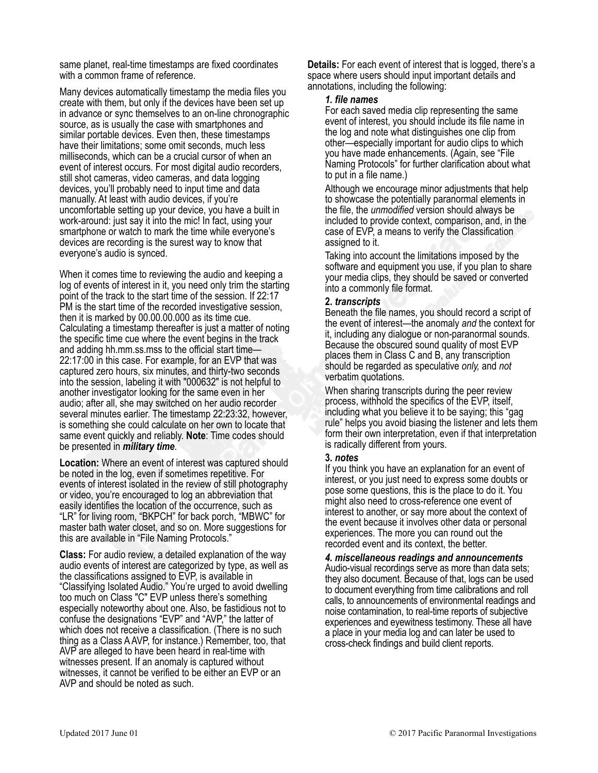same planet, real-time timestamps are fixed coordinates with a common frame of reference.

Many devices automatically timestamp the media files you create with them, but only if the devices have been set up in advance or sync themselves to an on-line chronographic source, as is usually the case with smartphones and similar portable devices. Even then, these timestamps have their limitations; some omit seconds, much less milliseconds, which can be a crucial cursor of when an event of interest occurs. For most digital audio recorders, still shot cameras, video cameras, and data logging devices, you'll probably need to input time and data manually. At least with audio devices, if you're uncomfortable setting up your device, you have a built in work-around: just say it into the mic! In fact, using your smartphone or watch to mark the time while everyone's devices are recording is the surest way to know that everyone's audio is synced.

When it comes time to reviewing the audio and keeping a log of events of interest in it, you need only trim the starting point of the track to the start time of the session. If 22:17 PM is the start time of the recorded investigative session, then it is marked by 00.00.00.000 as its time cue. Calculating a timestamp thereafter is just a matter of noting the specific time cue where the event begins in the track and adding hh.mm.ss.mss to the official start time— 22:17:00 in this case. For example, for an EVP that was captured zero hours, six minutes, and thirty-two seconds into the session, labeling it with "000632" is not helpful to another investigator looking for the same even in her audio; after all, she may switched on her audio recorder several minutes earlier. The timestamp 22:23:32, however, is something she could calculate on her own to locate that same event quickly and reliably. **Note**: Time codes should be presented in *military time*.

**Location:** Where an event of interest was captured should be noted in the log, even if sometimes repetitive. For events of interest isolated in the review of still photography or video, you're encouraged to log an abbreviation that easily identifies the location of the occurrence, such as "LR" for living room, "BKPCH" for back porch, "MBWC" for master bath water closet, and so on. More suggestions for this are available in "File Naming Protocols."

**Class:** For audio review, a detailed explanation of the way audio events of interest are categorized by type, as well as the classifications assigned to EVP, is available in "Classifying Isolated Audio." You're urged to avoid dwelling too much on Class "C" EVP unless there's something especially noteworthy about one. Also, be fastidious not to confuse the designations "EVP" and "AVP," the latter of which does not receive a classification. (There is no such thing as a Class A AVP, for instance.) Remember, too, that AVP are alleged to have been heard in real-time with witnesses present. If an anomaly is captured without witnesses, it cannot be verified to be either an EVP or an AVP and should be noted as such.

**Details:** For each event of interest that is logged, there's a space where users should input important details and annotations, including the following:

### *1. file names*

For each saved media clip representing the same event of interest, you should include its file name in the log and note what distinguishes one clip from other—especially important for audio clips to which you have made enhancements. (Again, see "File Naming Protocols" for further clarification about what to put in a file name.)

Although we encourage minor adjustments that help to showcase the potentially paranormal elements in the file, the *unmodified* version should always be included to provide context, comparison, and, in the case of EVP, a means to verify the Classification assigned to it.

Taking into account the limitations imposed by the software and equipment you use, if you plan to share your media clips, they should be saved or converted into a commonly file format.

## **2.** *transcripts*

Beneath the file names, you should record a script of the event of interest—the anomaly *and* the context for it, including any dialogue or non-paranormal sounds. Because the obscured sound quality of most EVP places them in Class C and B, any transcription should be regarded as speculative *only,* and *not* verbatim quotations.

When sharing transcripts during the peer review process, withhold the specifics of the EVP, itself, including what you believe it to be saying; this "gag rule" helps you avoid biasing the listener and lets them form their own interpretation, even if that interpretation is radically different from yours.

### **3.** *notes*

If you think you have an explanation for an event of interest, or you just need to express some doubts or pose some questions, this is the place to do it. You might also need to cross-reference one event of interest to another, or say more about the context of the event because it involves other data or personal experiences. The more you can round out the recorded event and its context, the better.

*4. miscellaneous readings and announcements* Audio-visual recordings serve as more than data sets; they also document. Because of that, logs can be used to document everything from time calibrations and roll calls, to announcements of environmental readings and noise contamination, to real-time reports of subjective experiences and eyewitness testimony. These all have a place in your media log and can later be used to cross-check findings and build client reports.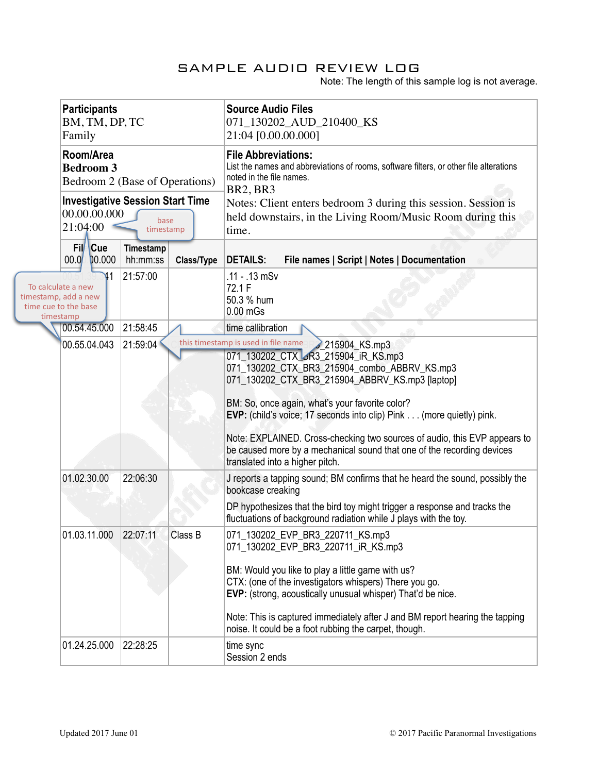# SAMPLE AUDIO REVIEW LOG

Note: The length of this sample log is not average.

|                                                                                 | <b>Participants</b><br>BM, TM, DP, TC<br>Family<br>Room/Area<br><b>Bedroom 3</b><br>Bedroom 2 (Base of Operations)<br><b>Investigative Session Start Time</b><br>00.00.00.00<br>base<br>21:04:00<br>timestamp |                     |                       |            | <b>Source Audio Files</b><br>071_130202_AUD_210400_KS<br>21:04 [0.00.00.000]                                                                                                                                                                                                                                                                                                                                                                                                                                               |
|---------------------------------------------------------------------------------|---------------------------------------------------------------------------------------------------------------------------------------------------------------------------------------------------------------|---------------------|-----------------------|------------|----------------------------------------------------------------------------------------------------------------------------------------------------------------------------------------------------------------------------------------------------------------------------------------------------------------------------------------------------------------------------------------------------------------------------------------------------------------------------------------------------------------------------|
|                                                                                 |                                                                                                                                                                                                               |                     |                       |            | <b>File Abbreviations:</b><br>List the names and abbreviations of rooms, software filters, or other file alterations<br>noted in the file names.<br><b>BR2, BR3</b><br>Notes: Client enters bedroom 3 during this session. Session is<br>held downstairs, in the Living Room/Music Room during this<br>time.                                                                                                                                                                                                               |
|                                                                                 |                                                                                                                                                                                                               | Fil Cue<br>00.00000 | Timestamp<br>hh:mm:ss | Class/Type | <b>DETAILS:</b><br>File names   Script   Notes   Documentation                                                                                                                                                                                                                                                                                                                                                                                                                                                             |
| To calculate a new<br>timestamp, add a new<br>time cue to the base<br>timestamp |                                                                                                                                                                                                               | ١1                  | 21:57:00              |            | .11 - .13 mSv<br>72.1 F<br>50.3 % hum<br>$0.00$ mGs                                                                                                                                                                                                                                                                                                                                                                                                                                                                        |
|                                                                                 | 00.54.45.000                                                                                                                                                                                                  |                     | 21:58:45              |            | time callibration                                                                                                                                                                                                                                                                                                                                                                                                                                                                                                          |
|                                                                                 | 00.55.04.043                                                                                                                                                                                                  |                     | 21:59:04              |            | this timestamp is used in file name<br>215904 KS.mp3<br>071_130202_CTX_SR3_215904_iR_KS.mp3<br>071_130202_CTX_BR3_215904_combo_ABBRV_KS.mp3<br>071_130202_CTX_BR3_215904_ABBRV_KS.mp3 [laptop]<br>BM: So, once again, what's your favorite color?<br><b>EVP:</b> (child's voice; 17 seconds into clip) Pink (more quietly) pink.<br>Note: EXPLAINED. Cross-checking two sources of audio, this EVP appears to<br>be caused more by a mechanical sound that one of the recording devices<br>translated into a higher pitch. |
|                                                                                 | 01.02.30.00                                                                                                                                                                                                   |                     | 22:06:30              |            | J reports a tapping sound; BM confirms that he heard the sound, possibly the<br>bookcase creaking<br>DP hypothesizes that the bird toy might trigger a response and tracks the<br>fluctuations of background radiation while J plays with the toy.                                                                                                                                                                                                                                                                         |
|                                                                                 | 01.03.11.000                                                                                                                                                                                                  |                     | 22:07:11              | Class B    | 071_130202_EVP_BR3_220711_KS.mp3<br>071_130202_EVP_BR3_220711_iR_KS.mp3<br>BM: Would you like to play a little game with us?<br>CTX: (one of the investigators whispers) There you go.<br>EVP: (strong, acoustically unusual whisper) That'd be nice.<br>Note: This is captured immediately after J and BM report hearing the tapping<br>noise. It could be a foot rubbing the carpet, though.                                                                                                                             |
|                                                                                 | 01.24.25.000                                                                                                                                                                                                  |                     | 22:28:25              |            | time sync<br>Session 2 ends                                                                                                                                                                                                                                                                                                                                                                                                                                                                                                |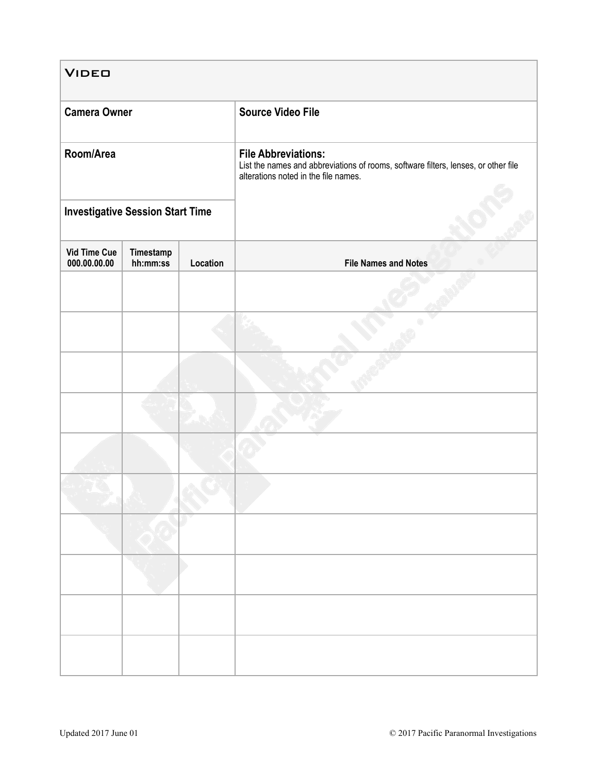| <b>VIDEO</b>                            |                       |          |                                                                                                                                                                                      |  |  |  |  |
|-----------------------------------------|-----------------------|----------|--------------------------------------------------------------------------------------------------------------------------------------------------------------------------------------|--|--|--|--|
| <b>Camera Owner</b>                     |                       |          | <b>Source Video File</b><br><b>File Abbreviations:</b><br>List the names and abbreviations of rooms, software filters, lenses, or other file<br>alterations noted in the file names. |  |  |  |  |
| Room/Area                               |                       |          |                                                                                                                                                                                      |  |  |  |  |
| <b>Investigative Session Start Time</b> |                       |          |                                                                                                                                                                                      |  |  |  |  |
| <b>Vid Time Cue</b><br>000.00.00.00     | Timestamp<br>hh:mm:ss | Location | <b>File Names and Notes</b>                                                                                                                                                          |  |  |  |  |
|                                         |                       |          |                                                                                                                                                                                      |  |  |  |  |
|                                         |                       |          |                                                                                                                                                                                      |  |  |  |  |
|                                         |                       |          |                                                                                                                                                                                      |  |  |  |  |
|                                         |                       |          |                                                                                                                                                                                      |  |  |  |  |
|                                         |                       |          |                                                                                                                                                                                      |  |  |  |  |
|                                         |                       |          |                                                                                                                                                                                      |  |  |  |  |
|                                         |                       |          |                                                                                                                                                                                      |  |  |  |  |
|                                         |                       |          |                                                                                                                                                                                      |  |  |  |  |
|                                         |                       |          |                                                                                                                                                                                      |  |  |  |  |
|                                         |                       |          |                                                                                                                                                                                      |  |  |  |  |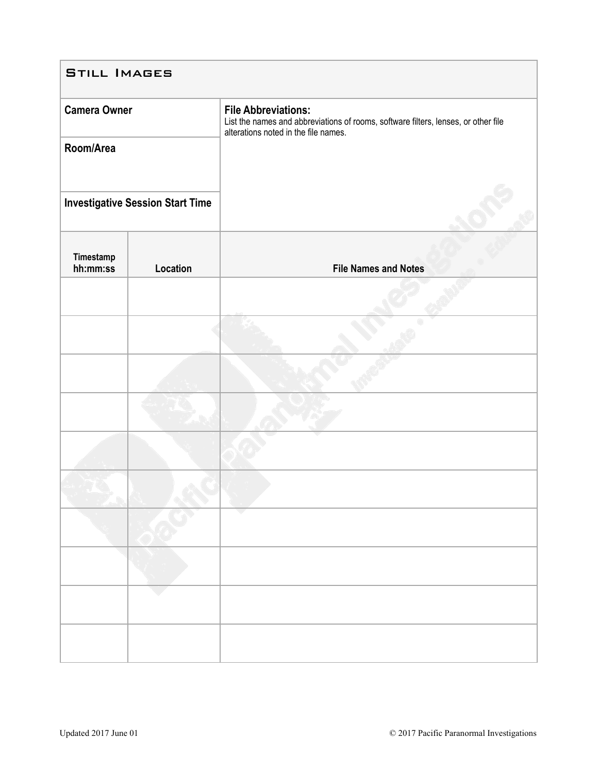| <b>STILL IMAGES</b>   |                                         |                                                                                                                                                          |  |  |  |  |
|-----------------------|-----------------------------------------|----------------------------------------------------------------------------------------------------------------------------------------------------------|--|--|--|--|
| <b>Camera Owner</b>   |                                         | <b>File Abbreviations:</b><br>List the names and abbreviations of rooms, software filters, lenses, or other file<br>alterations noted in the file names. |  |  |  |  |
| Room/Area             |                                         |                                                                                                                                                          |  |  |  |  |
|                       | <b>Investigative Session Start Time</b> |                                                                                                                                                          |  |  |  |  |
| Timestamp<br>hh:mm:ss | Location                                | <b>File Names and Notes</b>                                                                                                                              |  |  |  |  |
|                       |                                         |                                                                                                                                                          |  |  |  |  |
|                       |                                         |                                                                                                                                                          |  |  |  |  |
|                       |                                         |                                                                                                                                                          |  |  |  |  |
|                       |                                         |                                                                                                                                                          |  |  |  |  |
|                       |                                         |                                                                                                                                                          |  |  |  |  |
|                       |                                         |                                                                                                                                                          |  |  |  |  |
|                       |                                         |                                                                                                                                                          |  |  |  |  |
|                       |                                         |                                                                                                                                                          |  |  |  |  |
|                       |                                         |                                                                                                                                                          |  |  |  |  |
|                       |                                         |                                                                                                                                                          |  |  |  |  |